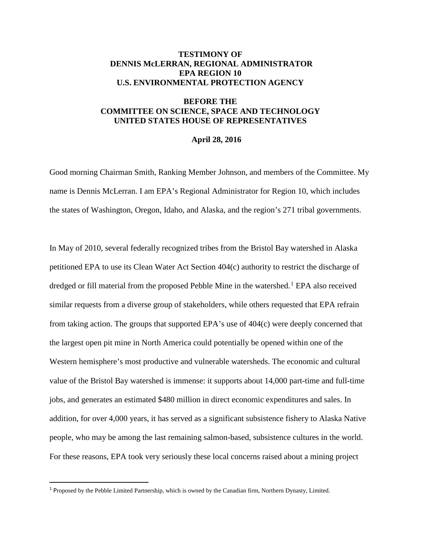## **TESTIMONY OF DENNIS McLERRAN, REGIONAL ADMINISTRATOR EPA REGION 10 U.S. ENVIRONMENTAL PROTECTION AGENCY**

## **BEFORE THE COMMITTEE ON SCIENCE, SPACE AND TECHNOLOGY UNITED STATES HOUSE OF REPRESENTATIVES**

## **April 28, 2016**

Good morning Chairman Smith, Ranking Member Johnson, and members of the Committee. My name is Dennis McLerran. I am EPA's Regional Administrator for Region 10, which includes the states of Washington, Oregon, Idaho, and Alaska, and the region's 271 tribal governments.

In May of 2010, several federally recognized tribes from the Bristol Bay watershed in Alaska petitioned EPA to use its Clean Water Act Section 404(c) authority to restrict the discharge of dredged or fill material from the proposed Pebble Mine in the watershed.<sup>[1](#page-0-0)</sup> EPA also received similar requests from a diverse group of stakeholders, while others requested that EPA refrain from taking action. The groups that supported EPA's use of 404(c) were deeply concerned that the largest open pit mine in North America could potentially be opened within one of the Western hemisphere's most productive and vulnerable watersheds. The economic and cultural value of the Bristol Bay watershed is immense: it supports about 14,000 part-time and full-time jobs, and generates an estimated \$480 million in direct economic expenditures and sales. In addition, for over 4,000 years, it has served as a significant subsistence fishery to Alaska Native people, who may be among the last remaining salmon-based, subsistence cultures in the world. For these reasons, EPA took very seriously these local concerns raised about a mining project

<span id="page-0-0"></span> <sup>1</sup> <sup>P</sup>roposed by the Pebble Limited Partnership, which is owned by the Canadian firm, Northern Dynasty, Limited.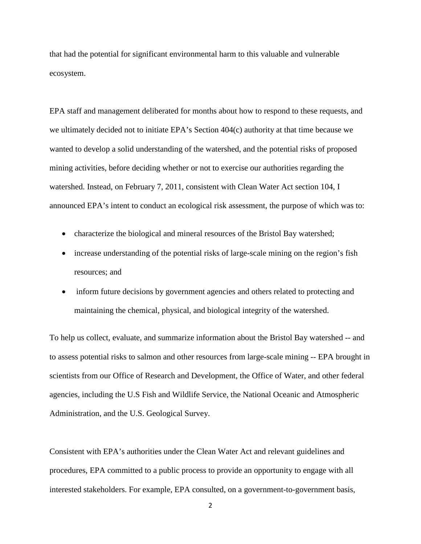that had the potential for significant environmental harm to this valuable and vulnerable ecosystem.

EPA staff and management deliberated for months about how to respond to these requests, and we ultimately decided not to initiate EPA's Section 404(c) authority at that time because we wanted to develop a solid understanding of the watershed, and the potential risks of proposed mining activities, before deciding whether or not to exercise our authorities regarding the watershed. Instead, on February 7, 2011, consistent with Clean Water Act section 104, I announced EPA's intent to conduct an ecological risk assessment, the purpose of which was to:

- characterize the biological and mineral resources of the Bristol Bay watershed;
- increase understanding of the potential risks of large-scale mining on the region's fish resources; and
- inform future decisions by government agencies and others related to protecting and maintaining the chemical, physical, and biological integrity of the watershed.

To help us collect, evaluate, and summarize information about the Bristol Bay watershed -- and to assess potential risks to salmon and other resources from large-scale mining -- EPA brought in scientists from our Office of Research and Development, the Office of Water, and other federal agencies, including the U.S Fish and Wildlife Service, the National Oceanic and Atmospheric Administration, and the U.S. Geological Survey.

Consistent with EPA's authorities under the Clean Water Act and relevant guidelines and procedures, EPA committed to a public process to provide an opportunity to engage with all interested stakeholders. For example, EPA consulted, on a government-to-government basis,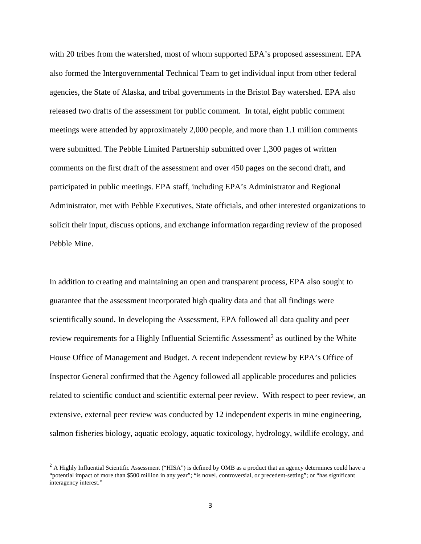with 20 tribes from the watershed, most of whom supported EPA's proposed assessment. EPA also formed the Intergovernmental Technical Team to get individual input from other federal agencies, the State of Alaska, and tribal governments in the Bristol Bay watershed. EPA also released two drafts of the assessment for public comment. In total, eight public comment meetings were attended by approximately 2,000 people, and more than 1.1 million comments were submitted. The Pebble Limited Partnership submitted over 1,300 pages of written comments on the first draft of the assessment and over 450 pages on the second draft, and participated in public meetings. EPA staff, including EPA's Administrator and Regional Administrator, met with Pebble Executives, State officials, and other interested organizations to solicit their input, discuss options, and exchange information regarding review of the proposed Pebble Mine.

In addition to creating and maintaining an open and transparent process, EPA also sought to guarantee that the assessment incorporated high quality data and that all findings were scientifically sound. In developing the Assessment, EPA followed all data quality and peer review requirements for a Highly Influential Scientific Assessment<sup>[2](#page-2-0)</sup> as outlined by the White House Office of Management and Budget. A recent independent review by EPA's Office of Inspector General confirmed that the Agency followed all applicable procedures and policies related to scientific conduct and scientific external peer review. With respect to peer review, an extensive, external peer review was conducted by 12 independent experts in mine engineering, salmon fisheries biology, aquatic ecology, aquatic toxicology, hydrology, wildlife ecology, and

<span id="page-2-0"></span><sup>&</sup>lt;sup>2</sup> A Highly Influential Scientific Assessment ("HISA") is defined by OMB as a product that an agency determines could have a "potential impact of more than \$500 million in any year"; "is novel, controversial, or precedent-setting"; or "has significant interagency interest."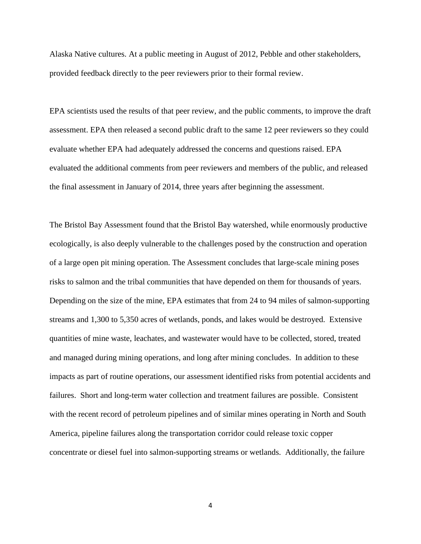Alaska Native cultures. At a public meeting in August of 2012, Pebble and other stakeholders, provided feedback directly to the peer reviewers prior to their formal review.

EPA scientists used the results of that peer review, and the public comments, to improve the draft assessment. EPA then released a second public draft to the same 12 peer reviewers so they could evaluate whether EPA had adequately addressed the concerns and questions raised. EPA evaluated the additional comments from peer reviewers and members of the public, and released the final assessment in January of 2014, three years after beginning the assessment.

The Bristol Bay Assessment found that the Bristol Bay watershed, while enormously productive ecologically, is also deeply vulnerable to the challenges posed by the construction and operation of a large open pit mining operation. The Assessment concludes that large-scale mining poses risks to salmon and the tribal communities that have depended on them for thousands of years. Depending on the size of the mine, EPA estimates that from 24 to 94 miles of salmon-supporting streams and 1,300 to 5,350 acres of wetlands, ponds, and lakes would be destroyed. Extensive quantities of mine waste, leachates, and wastewater would have to be collected, stored, treated and managed during mining operations, and long after mining concludes. In addition to these impacts as part of routine operations, our assessment identified risks from potential accidents and failures. Short and long-term water collection and treatment failures are possible. Consistent with the recent record of petroleum pipelines and of similar mines operating in North and South America, pipeline failures along the transportation corridor could release toxic copper concentrate or diesel fuel into salmon-supporting streams or wetlands. Additionally, the failure

4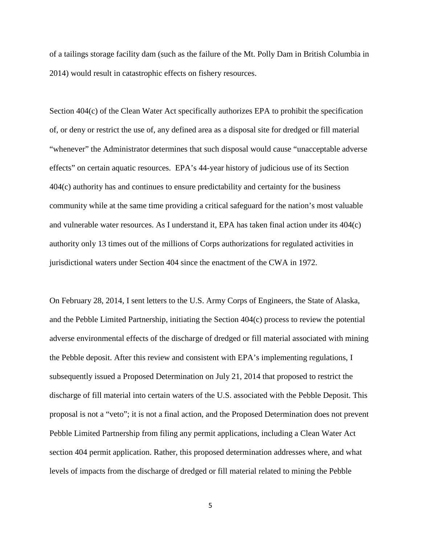of a tailings storage facility dam (such as the failure of the Mt. Polly Dam in British Columbia in 2014) would result in catastrophic effects on fishery resources.

Section 404(c) of the Clean Water Act specifically authorizes EPA to prohibit the specification of, or deny or restrict the use of, any defined area as a disposal site for dredged or fill material "whenever" the Administrator determines that such disposal would cause "unacceptable adverse effects" on certain aquatic resources. EPA's 44-year history of judicious use of its Section 404(c) authority has and continues to ensure predictability and certainty for the business community while at the same time providing a critical safeguard for the nation's most valuable and vulnerable water resources. As I understand it, EPA has taken final action under its 404(c) authority only 13 times out of the millions of Corps authorizations for regulated activities in jurisdictional waters under Section 404 since the enactment of the CWA in 1972.

On February 28, 2014, I sent letters to the U.S. Army Corps of Engineers, the State of Alaska, and the Pebble Limited Partnership, initiating the Section 404(c) process to review the potential adverse environmental effects of the discharge of dredged or fill material associated with mining the Pebble deposit. After this review and consistent with EPA's implementing regulations, I subsequently issued a Proposed Determination on July 21, 2014 that proposed to restrict the discharge of fill material into certain waters of the U.S. associated with the Pebble Deposit. This proposal is not a "veto"; it is not a final action, and the Proposed Determination does not prevent Pebble Limited Partnership from filing any permit applications, including a Clean Water Act section 404 permit application. Rather, this proposed determination addresses where, and what levels of impacts from the discharge of dredged or fill material related to mining the Pebble

5